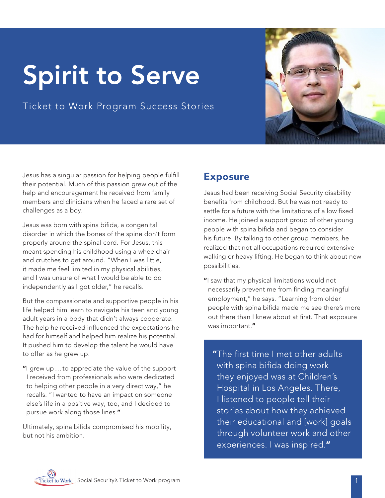# Spirit to Serve

Ticket to Work Program Success Stories



Jesus has a singular passion for helping people fulfill their potential. Much of this passion grew out of the help and encouragement he received from family members and clinicians when he faced a rare set of challenges as a boy.

Jesus was born with spina bifida, a congenital disorder in which the bones of the spine don't form properly around the spinal cord. For Jesus, this meant spending his childhood using a wheelchair and crutches to get around. "When I was little, it made me feel limited in my physical abilities, and I was unsure of what I would be able to do independently as I got older," he recalls.

But the compassionate and supportive people in his life helped him learn to navigate his teen and young adult years in a body that didn't always cooperate. The help he received influenced the expectations he had for himself and helped him realize his potential. It pushed him to develop the talent he would have to offer as he grew up.

"I grew up … to appreciate the value of the support I received from professionals who were dedicated to helping other people in a very direct way," he recalls. "I wanted to have an impact on someone else's life in a positive way, too, and I decided to pursue work along those lines."

Ultimately, spina bifida compromised his mobility, but not his ambition.

#### Exposure

Jesus had been receiving Social Security disability benefits from childhood. But he was not ready to settle for a future with the limitations of a low fixed income. He joined a support group of other young people with spina bifida and began to consider his future. By talking to other group members, he realized that not all occupations required extensive walking or heavy lifting. He began to think about new possibilities.

"I saw that my physical limitations would not necessarily prevent me from finding meaningful employment," he says. "Learning from older people with spina bifida made me see there's more out there than I knew about at first. That exposure was important."

"The first time I met other adults with spina bifida doing work they enjoyed was at Children's Hospital in Los Angeles. There, I listened to people tell their stories about how they achieved their educational and [work] goals through volunteer work and other experiences. I was inspired."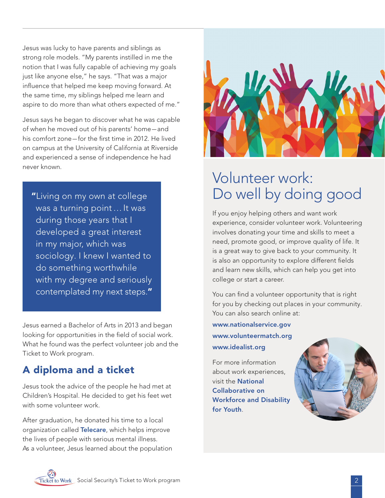Jesus was lucky to have parents and siblings as strong role models. "My parents instilled in me the notion that I was fully capable of achieving my goals just like anyone else," he says. "That was a major influence that helped me keep moving forward. At the same time, my siblings helped me learn and aspire to do more than what others expected of me."

Jesus says he began to discover what he was capable of when he moved out of his parents' home – and his comfort zone – for the first time in 2012. He lived on campus at the University of California at Riverside and experienced a sense of independence he had never known.

"Living on my own at college was a turning point … It was during those years that I developed a great interest in my major, which was sociology. I knew I wanted to do something worthwhile with my degree and seriously contemplated my next steps."

Jesus earned a Bachelor of Arts in 2013 and began looking for opportunities in the field of social work. What he found was the perfect volunteer job and the Ticket to Work program.

## A diploma and a ticket

Jesus took the advice of the people he had met at Children's Hospital. He decided to get his feet wet with some volunteer work.

After graduation, he donated his time to a local organization called [Telecare](http://www.telecarecorp.com/), which helps improve the lives of people with serious mental illness. As a volunteer, Jesus learned about the population



# Volunteer work: Do well by doing good

If you enjoy helping others and want work experience, consider volunteer work. Volunteering involves donating your time and skills to meet a need, promote good, or improve quality of life. It is a great way to give back to your community. It is also an opportunity to explore different fields and learn new skills, which can help you get into college or start a career.

You can find a volunteer opportunity that is right for you by checking out places in your community. You can also search online at:

[www.nationalservice.gov](http://www.nationalservice.gov) [www.volunteermatch.org](http://www.volunteermatch.org) [www.idealist.org](http://www.idealist.org)

For more information about work experiences, visit the [National](http://www.ncwd-youth.info)  [Collaborative on](http://www.ncwd-youth.info)  [Workforce and Disability](http://www.ncwd-youth.info)  [for Youth](http://www.ncwd-youth.info).



Ticket to Work Social Security's Ticket to Work program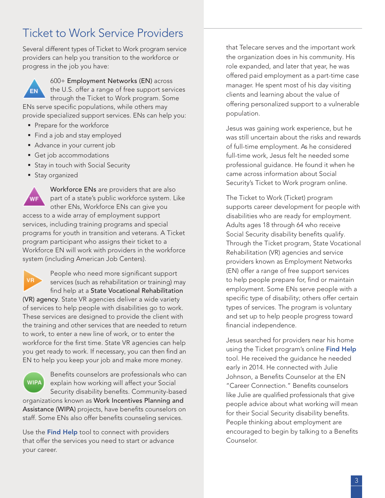# Ticket to Work Service Providers

Several different types of Ticket to Work program service providers can help you transition to the workforce or progress in the job you have:



600+ Employment Networks (EN) across the U.S. offer a range of free support services through the Ticket to Work program. Some ENs serve specific populations, while others may provide specialized support services. ENs can help you:

- **Prepare for the workforce**
- Find a job and stay employed
- Advance in your current job
- Get job accommodations
- **Stay in touch with Social Security**
- **Stay organized**

Workforce ENs are providers that are also part of a state's public workforce system. Like other ENs, Workforce ENs can give you

access to a wide array of employment support services, including training programs and special programs for youth in transition and veterans. A Ticket program participant who assigns their ticket to a Workforce EN will work with providers in the workforce system (including American Job Centers).



WF

People who need more significant support services (such as rehabilitation or training) may find help at a State Vocational Rehabilitation (VR) agency. State VR agencies deliver a wide variety of services to help people with disabilities go to work. These services are designed to provide the client with the training and other services that are needed to return

to work, to enter a new line of work, or to enter the workforce for the first time. State VR agencies can help you get ready to work. If necessary, you can then find an EN to help you keep your job and make more money.



Benefits counselors are professionals who can explain how working will affect your Social Security disability benefits. Community-based

organizations known as Work Incentives Planning and Assistance (WIPA) projects, have benefits counselors on staff. Some ENs also offer benefits counseling services.

Use the [Find Help](https://www.choosework.net/findhelp/) tool to connect with providers that offer the services you need to start or advance your career.

that Telecare serves and the important work the organization does in his community. His role expanded, and later that year, he was offered paid employment as a part-time case manager. He spent most of his day visiting clients and learning about the value of offering personalized support to a vulnerable population.

Jesus was gaining work experience, but he was still uncertain about the risks and rewards of full-time employment. As he considered full-time work, Jesus felt he needed some professional guidance. He found it when he came across information about Social Security's Ticket to Work program online.

The Ticket to Work (Ticket) program supports career development for people with disabilities who are ready for employment. Adults ages 18 through 64 who receive Social Security disability benefits qualify. Through the Ticket program, State Vocational Rehabilitation (VR) agencies and service providers known as Employment Networks (EN) offer a range of free support services to help people prepare for, find or maintain employment. Some ENs serve people with a specific type of disability; others offer certain types of services. The program is voluntary and set up to help people progress toward financial independence.

Jesus searched for providers near his home using the Ticket program's online [Find Help](https://choosework.net/findhelp/) tool. He received the guidance he needed early in 2014. He connected with Julie Johnson, a Benefits Counselor at the EN "Career Connection." Benefits counselors like Julie are qualified professionals that give people advice about what working will mean for their Social Security disability benefits. People thinking about employment are encouraged to begin by talking to a Benefits Counselor.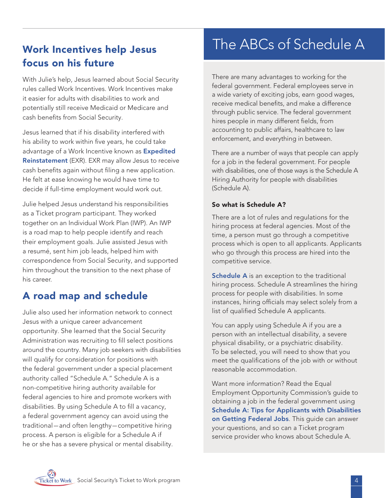## Work Incentives help Jesus focus on his future

With Julie's help, Jesus learned about Social Security rules called Work Incentives. Work Incentives make it easier for adults with disabilities to work and potentially still receive Medicaid or Medicare and cash benefits from Social Security.

Jesus learned that if his disability interfered with his ability to work within five years, he could take advantage of a Work Incentive known as Expedited **[Reinstatement](https://www.ssa.gov/disabilityresearch/wi/exr.htm)** (EXR). EXR may allow Jesus to receive cash benefits again without filing a new application. He felt at ease knowing he would have time to decide if full-time employment would work out.

Julie helped Jesus understand his responsibilities as a Ticket program participant. They worked together on an Individual Work Plan (IWP). An IWP is a road map to help people identify and reach their employment goals. Julie assisted Jesus with a resumé, sent him job leads, helped him with correspondence from Social Security, and supported him throughout the transition to the next phase of his career.

## A road map and schedule

Julie also used her information network to connect Jesus with a unique career advancement opportunity. She learned that the Social Security Administration was recruiting to fill select positions around the country. Many job seekers with disabilities will qualify for consideration for positions with the federal government under a special placement authority called "Schedule A." Schedule A is a non-competitive hiring authority available for federal agencies to hire and promote workers with disabilities. By using Schedule A to fill a vacancy, a federal government agency can avoid using the traditional – and often lengthy – competitive hiring process. A person is eligible for a Schedule A if he or she has a severe physical or mental disability.

# The ABCs of Schedule A

There are many advantages to working for the federal government. Federal employees serve in a wide variety of exciting jobs, earn good wages, receive medical benefits, and make a difference through public service. The federal government hires people in many different fields, from accounting to public affairs, healthcare to law enforcement, and everything in between.

There are a number of ways that people can apply for a job in the federal government. For people with disabilities, one of those ways is the Schedule A Hiring Authority for people with disabilities (Schedule A).

#### So what is Schedule A?

There are a lot of rules and regulations for the hiring process at federal agencies. Most of the time, a person must go through a competitive process which is open to all applicants. Applicants who go through this process are hired into the competitive service.

[Schedule A](https://www.usajobs.gov/Help/working-in-government/unique-hiring-paths/individuals-with-disabilities/) is an exception to the traditional hiring process. Schedule A streamlines the hiring process for people with disabilities. In some instances, hiring officials may select solely from a list of qualified Schedule A applicants.

You can apply using Schedule A if you are a person with an intellectual disability, a severe physical disability, or a psychiatric disability. To be selected, you will need to show that you meet the qualifications of the job with or without reasonable accommodation.

Want more information? Read the Equal Employment Opportunity Commission's guide to obtaining a job in the federal government using [Schedule A: Tips for Applicants with Disabilities](https://www.eeoc.gov/eeoc/publications/abc_applicants_with_disabilities.cfm)  [on Getting Federal Jobs](https://www.eeoc.gov/eeoc/publications/abc_applicants_with_disabilities.cfm). This guide can answer your questions, and so can a Ticket program service provider who knows about Schedule A.

Ticket to Work Social Security's Ticket to Work program